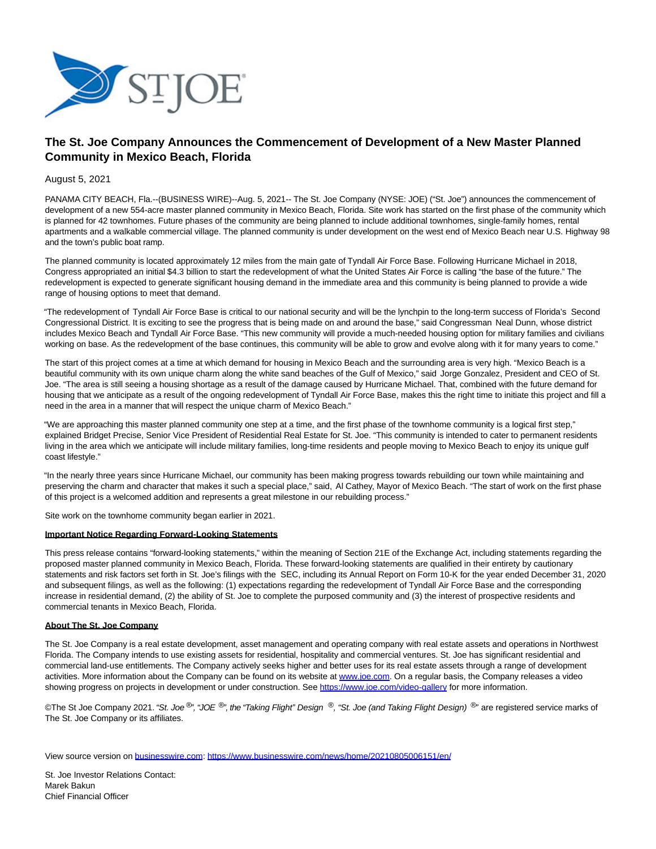

## **The St. Joe Company Announces the Commencement of Development of a New Master Planned Community in Mexico Beach, Florida**

## August 5, 2021

PANAMA CITY BEACH, Fla.--(BUSINESS WIRE)--Aug. 5, 2021-- The St. Joe Company (NYSE: JOE) ("St. Joe") announces the commencement of development of a new 554-acre master planned community in Mexico Beach, Florida. Site work has started on the first phase of the community which is planned for 42 townhomes. Future phases of the community are being planned to include additional townhomes, single-family homes, rental apartments and a walkable commercial village. The planned community is under development on the west end of Mexico Beach near U.S. Highway 98 and the town's public boat ramp.

The planned community is located approximately 12 miles from the main gate of Tyndall Air Force Base. Following Hurricane Michael in 2018, Congress appropriated an initial \$4.3 billion to start the redevelopment of what the United States Air Force is calling "the base of the future." The redevelopment is expected to generate significant housing demand in the immediate area and this community is being planned to provide a wide range of housing options to meet that demand.

"The redevelopment of Tyndall Air Force Base is critical to our national security and will be the lynchpin to the long-term success of Florida's Second Congressional District. It is exciting to see the progress that is being made on and around the base," said Congressman Neal Dunn, whose district includes Mexico Beach and Tyndall Air Force Base. "This new community will provide a much-needed housing option for military families and civilians working on base. As the redevelopment of the base continues, this community will be able to grow and evolve along with it for many years to come."

The start of this project comes at a time at which demand for housing in Mexico Beach and the surrounding area is very high. "Mexico Beach is a beautiful community with its own unique charm along the white sand beaches of the Gulf of Mexico," said Jorge Gonzalez, President and CEO of St. Joe. "The area is still seeing a housing shortage as a result of the damage caused by Hurricane Michael. That, combined with the future demand for housing that we anticipate as a result of the ongoing redevelopment of Tyndall Air Force Base, makes this the right time to initiate this project and fill a need in the area in a manner that will respect the unique charm of Mexico Beach."

"We are approaching this master planned community one step at a time, and the first phase of the townhome community is a logical first step," explained Bridget Precise, Senior Vice President of Residential Real Estate for St. Joe. "This community is intended to cater to permanent residents living in the area which we anticipate will include military families, long-time residents and people moving to Mexico Beach to enjoy its unique gulf coast lifestyle."

"In the nearly three years since Hurricane Michael, our community has been making progress towards rebuilding our town while maintaining and preserving the charm and character that makes it such a special place," said, Al Cathey, Mayor of Mexico Beach. "The start of work on the first phase of this project is a welcomed addition and represents a great milestone in our rebuilding process."

Site work on the townhome community began earlier in 2021.

## **Important Notice Regarding Forward-Looking Statements**

This press release contains "forward-looking statements," within the meaning of Section 21E of the Exchange Act, including statements regarding the proposed master planned community in Mexico Beach, Florida. These forward-looking statements are qualified in their entirety by cautionary statements and risk factors set forth in St. Joe's filings with the SEC, including its Annual Report on Form 10-K for the year ended December 31, 2020 and subsequent filings, as well as the following: (1) expectations regarding the redevelopment of Tyndall Air Force Base and the corresponding increase in residential demand, (2) the ability of St. Joe to complete the purposed community and (3) the interest of prospective residents and commercial tenants in Mexico Beach, Florida.

## **About The St. Joe Company**

The St. Joe Company is a real estate development, asset management and operating company with real estate assets and operations in Northwest Florida. The Company intends to use existing assets for residential, hospitality and commercial ventures. St. Joe has significant residential and commercial land-use entitlements. The Company actively seeks higher and better uses for its real estate assets through a range of development activities. More information about the Company can be found on its website at [www.joe.com.](https://cts.businesswire.com/ct/CT?id=smartlink&url=http%3A%2F%2Fwww.joe.com&esheet=52472856&newsitemid=20210805006151&lan=en-US&anchor=www.joe.com&index=1&md5=d17beb7afcdca3b01b9c0425989bbda2) On a regular basis, the Company releases a video showing progress on projects in development or under construction. See [https://www.joe.com/video-gallery f](https://cts.businesswire.com/ct/CT?id=smartlink&url=https%3A%2F%2Fwww.joe.com%2Fvideo-gallery&esheet=52472856&newsitemid=20210805006151&lan=en-US&anchor=https%3A%2F%2Fwww.joe.com%2Fvideo-gallery&index=2&md5=a05b5d44c62d69068a108965f122caf2)or more information.

©The St Joe Company 2021. "St. Joe <sup>®</sup>", "JOE ®", the "Taking Flight" Design ®, "St. Joe (and Taking Flight Design) <sup>®</sup>" are registered service marks of The St. Joe Company or its affiliates.

View source version on [businesswire.com:](http://businesswire.com/)<https://www.businesswire.com/news/home/20210805006151/en/>

St. Joe Investor Relations Contact: Marek Bakun Chief Financial Officer